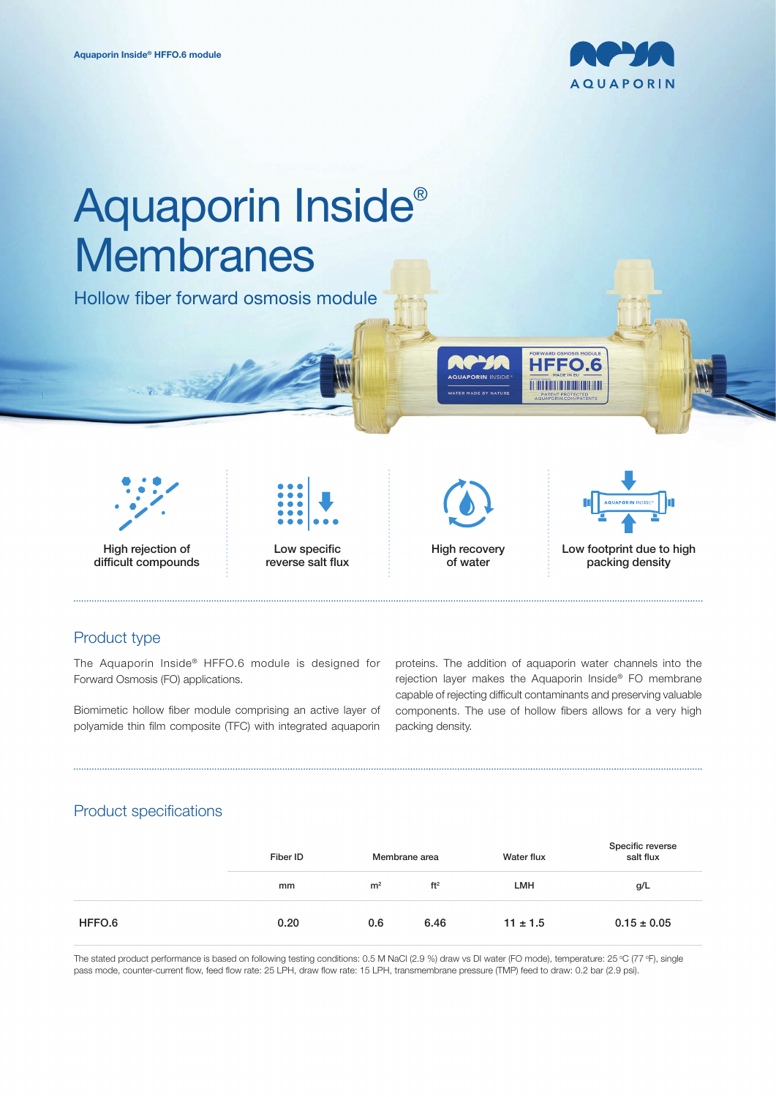



# Product type

The Aquaporin Inside® HFFO.6 module is designed for Forward Osmosis (FO) applications.

Biomimetic hollow fiber module comprising an active layer of polyamide thin film composite (TFC) with integrated aquaporin

proteins. The addition of aquaporin water channels into the rejection layer makes the Aquaporin Inside® FO membrane capable of rejecting difficult contaminants and preserving valuable components. The use of hollow fibers allows for a very high packing density.

# Product specifications

|        | Fiber ID | Membrane area  |                 | Water flux   | Specific reverse<br>salt flux |
|--------|----------|----------------|-----------------|--------------|-------------------------------|
|        | mm       | m <sup>2</sup> | ft <sup>2</sup> | LMH          | g/L                           |
| HFFO.6 | 0.20     | 0.6            | 6.46            | $11 \pm 1.5$ | $0.15 \pm 0.05$               |

The stated product performance is based on following testing conditions: 0.5 M NaCl (2.9 %) draw vs DI water (FO mode), temperature: 25 °C (77 °F), single pass mode, counter-current flow, feed flow rate: 25 LPH, draw flow rate: 15 LPH, transmembrane pressure (TMP) feed to draw: 0.2 bar (2.9 psi).